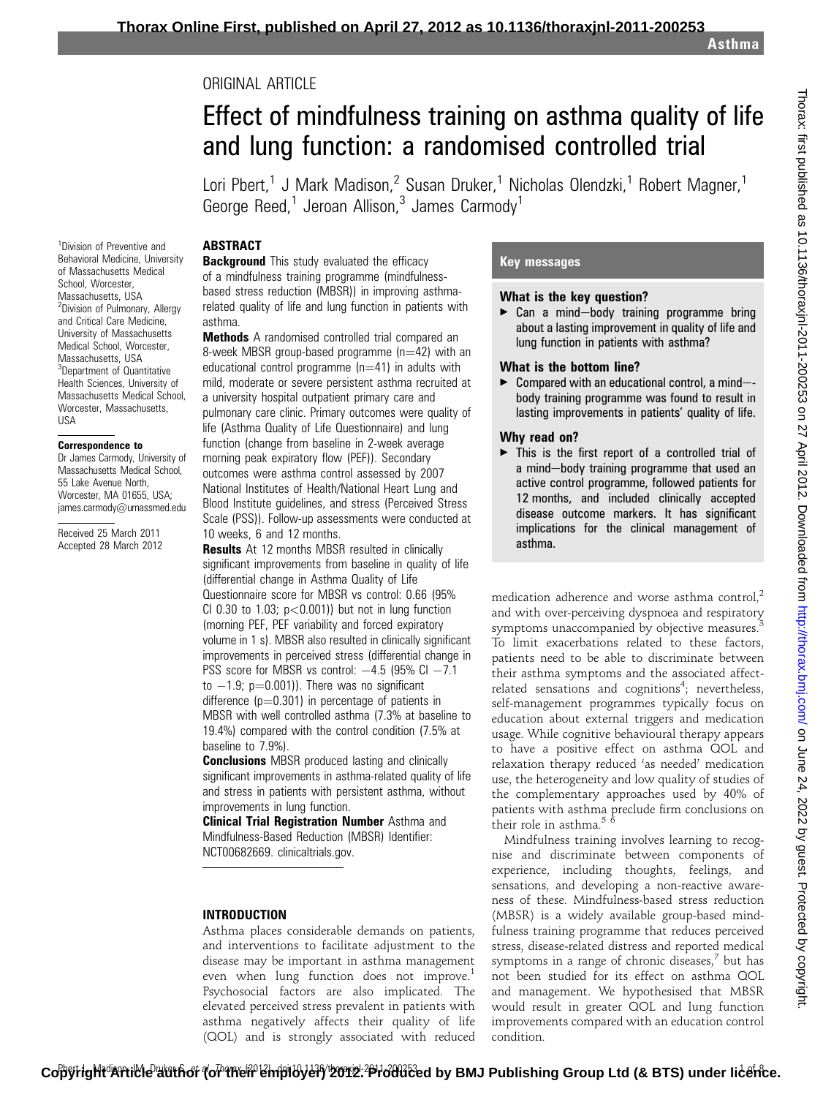## ORIGINAL ARTICLE

# Effect of mindfulness training on asthma quality of life and lung function: a randomised controlled trial

Lori Pbert,<sup>1</sup> J Mark Madison,<sup>2</sup> Susan Druker,<sup>1</sup> Nicholas Olendzki,<sup>1</sup> Robert Magner,<sup>1</sup> George Reed,<sup>1</sup> Jeroan Allison,<sup>3</sup> James Carmody<sup>1</sup>

### **ABSTRACT**

<sup>1</sup>Division of Preventive and Behavioral Medicine, University of Massachusetts Medical School, Worcester, Massachusetts, USA 2 Division of Pulmonary, Allergy and Critical Care Medicine, University of Massachusetts Medical School, Worcester, Massachusetts, USA 3 Department of Quantitative Health Sciences, University of Massachusetts Medical School, Worcester, Massachusetts,

USA

Correspondence to Dr James Carmody, University of Massachusetts Medical School, 55 Lake Avenue North, Worcester, MA 01655, USA; james.carmody@umassmed.edu

Received 25 March 2011 Accepted 28 March 2012 **Background** This study evaluated the efficacy of a mindfulness training programme (mindfulnessbased stress reduction (MBSR)) in improving asthmarelated quality of life and lung function in patients with asthma.

**Methods** A randomised controlled trial compared an 8-week MBSR group-based programme  $(n=42)$  with an educational control programme  $(n=41)$  in adults with mild, moderate or severe persistent asthma recruited at a university hospital outpatient primary care and pulmonary care clinic. Primary outcomes were quality of life (Asthma Quality of Life Questionnaire) and lung function (change from baseline in 2-week average morning peak expiratory flow (PEF)). Secondary outcomes were asthma control assessed by 2007 National Institutes of Health/National Heart Lung and Blood Institute guidelines, and stress (Perceived Stress Scale (PSS)). Follow-up assessments were conducted at 10 weeks, 6 and 12 months.

**Results** At 12 months MBSR resulted in clinically significant improvements from baseline in quality of life (differential change in Asthma Quality of Life Questionnaire score for MBSR vs control: 0.66 (95% CI 0.30 to 1.03;  $p<0.001$ ) but not in lung function (morning PEF, PEF variability and forced expiratory volume in 1 s). MBSR also resulted in clinically significant improvements in perceived stress (differential change in PSS score for MBSR vs control:  $-4.5$  (95% CI  $-7.1$ )

to  $-1.9$ ;  $p=0.001$ )). There was no significant difference ( $p=0.301$ ) in percentage of patients in MBSR with well controlled asthma (7.3% at baseline to 19.4%) compared with the control condition (7.5% at baseline to 7.9%).

**Conclusions** MBSR produced lasting and clinically significant improvements in asthma-related quality of life and stress in patients with persistent asthma, without improvements in lung function.

**Clinical Trial Registration Number** Asthma and Mindfulness-Based Reduction (MBSR) Identifier: NCT00682669. clinicaltrials.gov.

#### INTRODUCTION

Asthma places considerable demands on patients, and interventions to facilitate adjustment to the disease may be important in asthma management even when lung function does not improve.<sup>1</sup> Psychosocial factors are also implicated. The elevated perceived stress prevalent in patients with asthma negatively affects their quality of life (QOL) and is strongly associated with reduced

## Key messages

#### What is the key question?

 $\triangleright$  Can a mind-body training programme bring about a lasting improvement in quality of life and lung function in patients with asthma?

#### What is the bottom line?

 $\blacktriangleright$  Compared with an educational control, a mind-body training programme was found to result in lasting improvements in patients' quality of life.

#### Why read on?

 $\blacktriangleright$  This is the first report of a controlled trial of a mind-body training programme that used an active control programme, followed patients for 12 months, and included clinically accepted disease outcome markers. It has significant implications for the clinical management of asthma.

medication adherence and worse asthma control,<sup>2</sup> and with over-perceiving dyspnoea and respiratory symptoms unaccompanied by objective measures. To limit exacerbations related to these factors, patients need to be able to discriminate between their asthma symptoms and the associated affectrelated sensations and cognitions<sup>4</sup>; nevertheless, self-management programmes typically focus on education about external triggers and medication usage. While cognitive behavioural therapy appears to have a positive effect on asthma QOL and relaxation therapy reduced 'as needed' medication use, the heterogeneity and low quality of studies of the complementary approaches used by 40% of patients with asthma preclude firm conclusions on their role in asthma.<sup>5</sup>  $\delta$ 

Mindfulness training involves learning to recognise and discriminate between components of experience, including thoughts, feelings, and sensations, and developing a non-reactive awareness of these. Mindfulness-based stress reduction (MBSR) is a widely available group-based mindfulness training programme that reduces perceived stress, disease-related distress and reported medical symptoms in a range of chronic diseases, but has not been studied for its effect on asthma QOL and management. We hypothesised that MBSR would result in greater QOL and lung function improvements compared with an education control condition.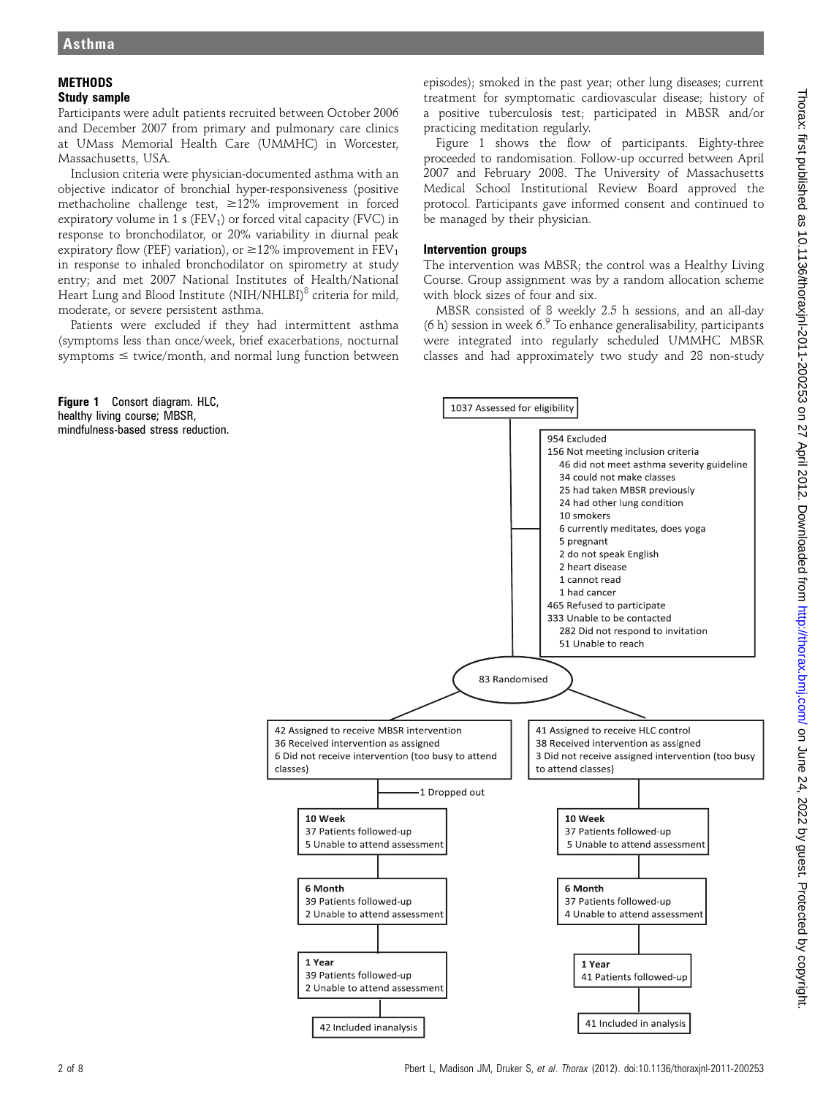# **METHODS**

## Study sample

Participants were adult patients recruited between October 2006 and December 2007 from primary and pulmonary care clinics at UMass Memorial Health Care (UMMHC) in Worcester, Massachusetts, USA.

Inclusion criteria were physician-documented asthma with an objective indicator of bronchial hyper-responsiveness (positive methacholine challenge test,  $\geq 12\%$  improvement in forced expiratory volume in 1 s ( $FEV<sub>1</sub>$ ) or forced vital capacity ( $FVC$ ) in response to bronchodilator, or 20% variability in diurnal peak expiratory flow (PEF) variation), or  $\geq$ 12% improvement in FEV<sub>1</sub> in response to inhaled bronchodilator on spirometry at study entry; and met 2007 National Institutes of Health/National Heart Lung and Blood Institute (NIH/NHLBI) $\text{8}$  criteria for mild, moderate, or severe persistent asthma.

Patients were excluded if they had intermittent asthma (symptoms less than once/week, brief exacerbations, nocturnal symptoms  $\leq$  twice/month, and normal lung function between

Figure 1 Consort diagram. HLC, healthy living course; MBSR, mindfulness-based stress reduction. episodes); smoked in the past year; other lung diseases; current treatment for symptomatic cardiovascular disease; history of a positive tuberculosis test; participated in MBSR and/or practicing meditation regularly.

Figure 1 shows the flow of participants. Eighty-three proceeded to randomisation. Follow-up occurred between April 2007 and February 2008. The University of Massachusetts Medical School Institutional Review Board approved the protocol. Participants gave informed consent and continued to be managed by their physician.

## Intervention groups

The intervention was MBSR; the control was a Healthy Living Course. Group assignment was by a random allocation scheme with block sizes of four and six.

MBSR consisted of 8 weekly 2.5 h sessions, and an all-day (6 h) session in week  $6.9$  To enhance generalisability, participants were integrated into regularly scheduled UMMHC MBSR classes and had approximately two study and 28 non-study

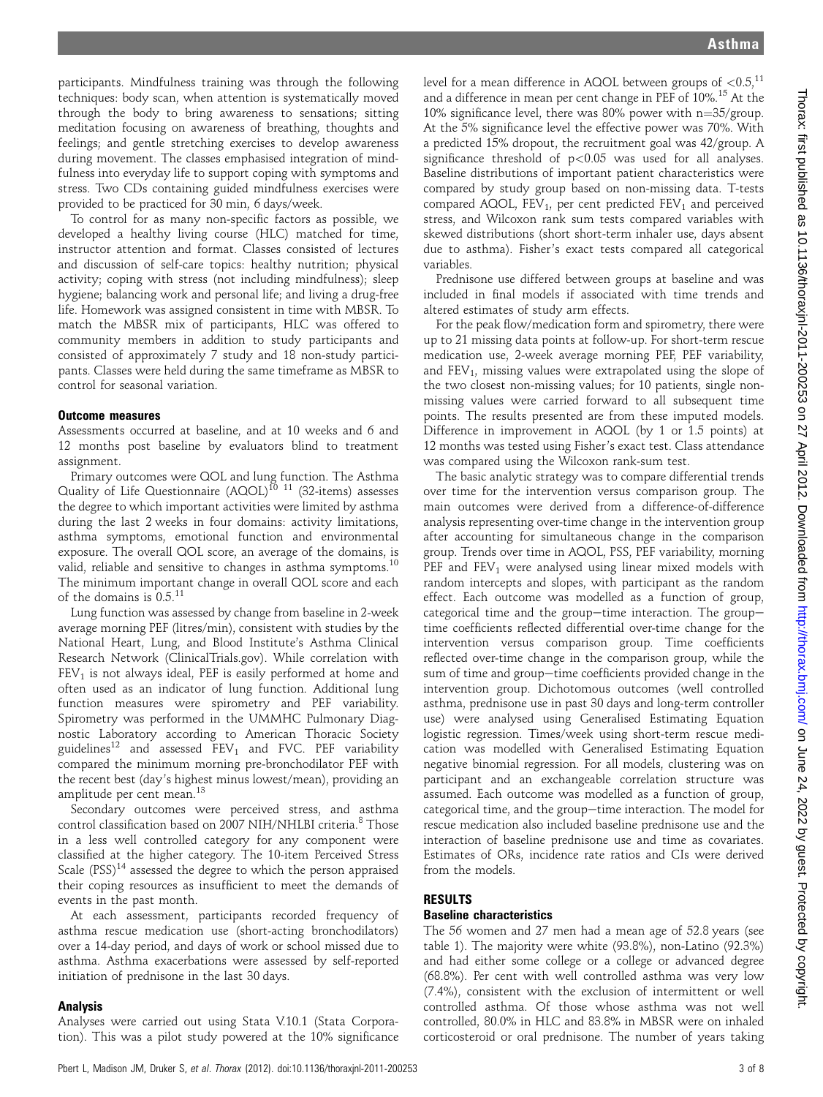participants. Mindfulness training was through the following techniques: body scan, when attention is systematically moved through the body to bring awareness to sensations; sitting meditation focusing on awareness of breathing, thoughts and feelings; and gentle stretching exercises to develop awareness

during movement. The classes emphasised integration of mindfulness into everyday life to support coping with symptoms and stress. Two CDs containing guided mindfulness exercises were provided to be practiced for 30 min, 6 days/week.

To control for as many non-specific factors as possible, we developed a healthy living course (HLC) matched for time, instructor attention and format. Classes consisted of lectures and discussion of self-care topics: healthy nutrition; physical activity; coping with stress (not including mindfulness); sleep hygiene; balancing work and personal life; and living a drug-free life. Homework was assigned consistent in time with MBSR. To match the MBSR mix of participants, HLC was offered to community members in addition to study participants and consisted of approximately 7 study and 18 non-study participants. Classes were held during the same timeframe as MBSR to control for seasonal variation.

#### Outcome measures

Assessments occurred at baseline, and at 10 weeks and 6 and 12 months post baseline by evaluators blind to treatment assignment.

Primary outcomes were QOL and lung function. The Asthma Quality of Life Questionnaire  $(AQOL)^{10}$   $^{11}$  (32-items) assesses the degree to which important activities were limited by asthma during the last 2 weeks in four domains: activity limitations, asthma symptoms, emotional function and environmental exposure. The overall QOL score, an average of the domains, is valid, reliable and sensitive to changes in asthma symptoms.<sup>10</sup> The minimum important change in overall QOL score and each of the domains is 0.5.11

Lung function was assessed by change from baseline in 2-week average morning PEF (litres/min), consistent with studies by the National Heart, Lung, and Blood Institute's Asthma Clinical Research Network (ClinicalTrials.gov). While correlation with  $FEV<sub>1</sub>$  is not always ideal, PEF is easily performed at home and often used as an indicator of lung function. Additional lung function measures were spirometry and PEF variability. Spirometry was performed in the UMMHC Pulmonary Diagnostic Laboratory according to American Thoracic Society guidelines<sup>12</sup> and assessed FEV<sub>1</sub> and FVC. PEF variability compared the minimum morning pre-bronchodilator PEF with the recent best (day's highest minus lowest/mean), providing an amplitude per cent mean.<sup>13</sup>

Secondary outcomes were perceived stress, and asthma control classification based on 2007 NIH/NHLBI criteria.<sup>8</sup> Those in a less well controlled category for any component were classified at the higher category. The 10-item Perceived Stress Scale  $(PSS)^{14}$  assessed the degree to which the person appraised their coping resources as insufficient to meet the demands of events in the past month.

At each assessment, participants recorded frequency of asthma rescue medication use (short-acting bronchodilators) over a 14-day period, and days of work or school missed due to asthma. Asthma exacerbations were assessed by self-reported initiation of prednisone in the last 30 days.

#### Analysis

Analyses were carried out using Stata V.10.1 (Stata Corporation). This was a pilot study powered at the 10% significance level for a mean difference in AQOL between groups of  $< 0.5$ ,<sup>11</sup> and a difference in mean per cent change in PEF of 10%.<sup>15</sup> At the 10% significance level, there was 80% power with  $n=35/group$ . At the 5% significance level the effective power was 70%. With a predicted 15% dropout, the recruitment goal was 42/group. A significance threshold of  $p<0.05$  was used for all analyses. Baseline distributions of important patient characteristics were compared by study group based on non-missing data. T-tests compared AQOL,  $FEV_1$ , per cent predicted  $FEV_1$  and perceived stress, and Wilcoxon rank sum tests compared variables with skewed distributions (short short-term inhaler use, days absent due to asthma). Fisher's exact tests compared all categorical variables.

Prednisone use differed between groups at baseline and was included in final models if associated with time trends and altered estimates of study arm effects.

For the peak flow/medication form and spirometry, there were up to 21 missing data points at follow-up. For short-term rescue medication use, 2-week average morning PEF, PEF variability, and  $FEV<sub>1</sub>$ , missing values were extrapolated using the slope of the two closest non-missing values; for 10 patients, single nonmissing values were carried forward to all subsequent time points. The results presented are from these imputed models. Difference in improvement in AQOL (by 1 or 1.5 points) at 12 months was tested using Fisher's exact test. Class attendance was compared using the Wilcoxon rank-sum test.

The basic analytic strategy was to compare differential trends over time for the intervention versus comparison group. The main outcomes were derived from a difference-of-difference analysis representing over-time change in the intervention group after accounting for simultaneous change in the comparison group. Trends over time in AQOL, PSS, PEF variability, morning PEF and  $FEV<sub>1</sub>$  were analysed using linear mixed models with random intercepts and slopes, with participant as the random effect. Each outcome was modelled as a function of group, categorical time and the group-time interaction. The grouptime coefficients reflected differential over-time change for the intervention versus comparison group. Time coefficients reflected over-time change in the comparison group, while the sum of time and group-time coefficients provided change in the intervention group. Dichotomous outcomes (well controlled asthma, prednisone use in past 30 days and long-term controller use) were analysed using Generalised Estimating Equation logistic regression. Times/week using short-term rescue medication was modelled with Generalised Estimating Equation negative binomial regression. For all models, clustering was on participant and an exchangeable correlation structure was assumed. Each outcome was modelled as a function of group, categorical time, and the group-time interaction. The model for rescue medication also included baseline prednisone use and the interaction of baseline prednisone use and time as covariates. Estimates of ORs, incidence rate ratios and CIs were derived from the models.

#### RESULTS

## Baseline characteristics

The 56 women and 27 men had a mean age of 52.8 years (see table 1). The majority were white (93.8%), non-Latino (92.3%) and had either some college or a college or advanced degree (68.8%). Per cent with well controlled asthma was very low (7.4%), consistent with the exclusion of intermittent or well controlled asthma. Of those whose asthma was not well controlled, 80.0% in HLC and 83.8% in MBSR were on inhaled corticosteroid or oral prednisone. The number of years taking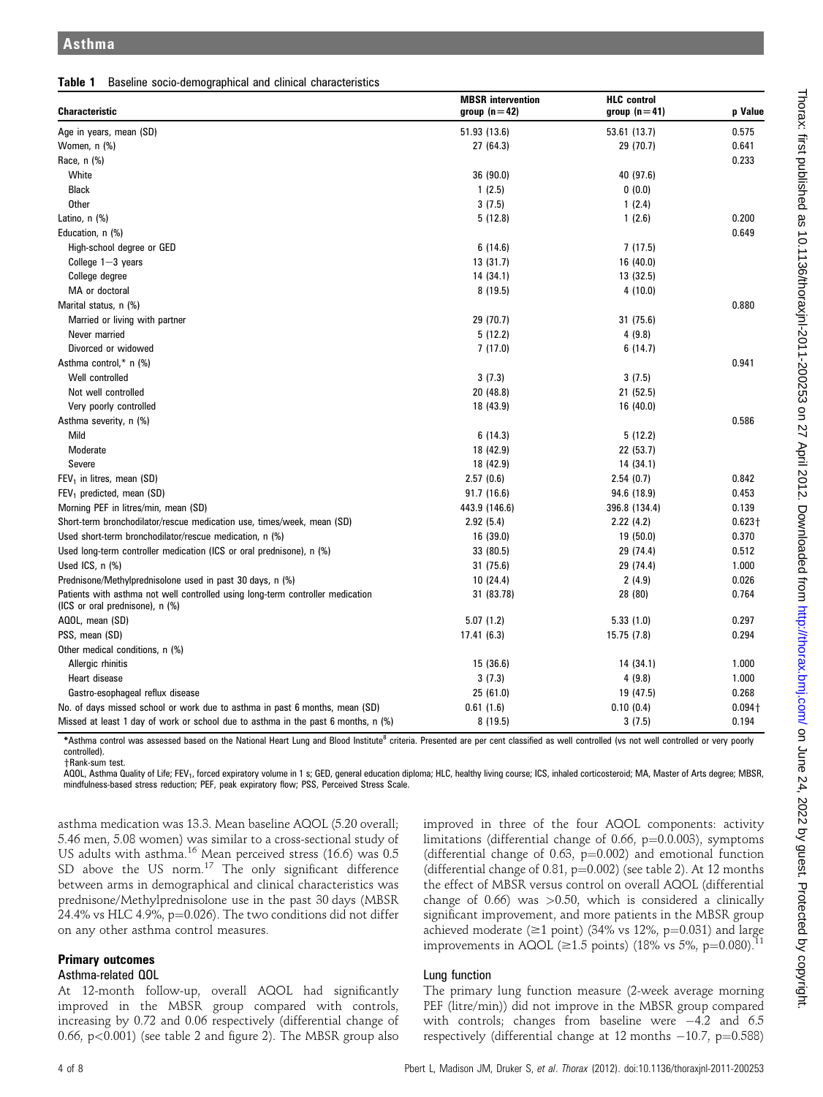## Table 1 Baseline socio-demographical and clinical characteristics

| <b>Characteristic</b>                                                                                             | <b>MBSR</b> intervention<br>group $(n=42)$ | <b>HLC</b> control<br>group $(n=41)$ | p Value   |
|-------------------------------------------------------------------------------------------------------------------|--------------------------------------------|--------------------------------------|-----------|
| Age in years, mean (SD)                                                                                           | 51.93 (13.6)                               | 53.61 (13.7)                         | 0.575     |
| Women, n (%)                                                                                                      | 27 (64.3)                                  | 29 (70.7)                            | 0.641     |
| Race, n (%)                                                                                                       |                                            |                                      | 0.233     |
| White                                                                                                             | 36 (90.0)                                  | 40 (97.6)                            |           |
| <b>Black</b>                                                                                                      | 1(2.5)                                     | 0(0.0)                               |           |
| <b>Other</b>                                                                                                      | 3(7.5)                                     | 1(2.4)                               |           |
| Latino, n (%)                                                                                                     | 5(12.8)                                    | 1(2.6)                               | 0.200     |
| Education, n (%)                                                                                                  |                                            |                                      | 0.649     |
| High-school degree or GED                                                                                         | 6(14.6)                                    | 7(17.5)                              |           |
| College $1-3$ years                                                                                               | 13 (31.7)                                  | 16 (40.0)                            |           |
| College degree                                                                                                    | 14 (34.1)                                  | 13 (32.5)                            |           |
| MA or doctoral                                                                                                    | 8(19.5)                                    | 4(10.0)                              |           |
| Marital status, n (%)                                                                                             |                                            |                                      | 0.880     |
| Married or living with partner                                                                                    | 29 (70.7)                                  | 31 (75.6)                            |           |
| Never married                                                                                                     | 5(12.2)                                    | 4(9.8)                               |           |
| Divorced or widowed                                                                                               | 7(17.0)                                    | 6(14.7)                              |           |
| Asthma control,* n (%)                                                                                            |                                            |                                      | 0.941     |
| Well controlled                                                                                                   | 3(7.3)                                     | 3(7.5)                               |           |
| Not well controlled                                                                                               | 20 (48.8)                                  | 21 (52.5)                            |           |
| Very poorly controlled                                                                                            | 18 (43.9)                                  | 16 (40.0)                            |           |
| Asthma severity, n (%)                                                                                            |                                            |                                      | 0.586     |
| Mild                                                                                                              | 6(14.3)                                    | 5(12.2)                              |           |
| Moderate                                                                                                          | 18 (42.9)                                  | 22 (53.7)                            |           |
| Severe                                                                                                            | 18 (42.9)                                  | 14 (34.1)                            |           |
| $FEV1$ in litres, mean (SD)                                                                                       | 2.57(0.6)                                  | 2.54(0.7)                            | 0.842     |
| FEV <sub>1</sub> predicted, mean (SD)                                                                             | 91.7 (16.6)                                | 94.6 (18.9)                          | 0.453     |
| Morning PEF in litres/min, mean (SD)                                                                              | 443.9 (146.6)                              | 396.8 (134.4)                        | 0.139     |
| Short-term bronchodilator/rescue medication use, times/week, mean (SD)                                            | 2.92(5.4)                                  | 2.22(4.2)                            | $0.623 +$ |
| Used short-term bronchodilator/rescue medication, n (%)                                                           | 16(39.0)                                   | 19 (50.0)                            | 0.370     |
| Used long-term controller medication (ICS or oral prednisone), n (%)                                              | 33 (80.5)                                  | 29 (74.4)                            | 0.512     |
| Used ICS, n (%)                                                                                                   | 31 (75.6)                                  | 29 (74.4)                            | 1.000     |
| Prednisone/Methylprednisolone used in past 30 days, n (%)                                                         | 10(24.4)                                   | 2(4.9)                               | 0.026     |
| Patients with asthma not well controlled using long-term controller medication<br>(ICS or oral prednisone), n (%) | 31 (83.78)                                 | 28 (80)                              | 0.764     |
| AQOL, mean (SD)                                                                                                   | 5.07(1.2)                                  | 5.33(1.0)                            | 0.297     |
| PSS, mean (SD)                                                                                                    | 17.41(6.3)                                 | 15.75 (7.8)                          | 0.294     |
| Other medical conditions, n (%)                                                                                   |                                            |                                      |           |
| Allergic rhinitis                                                                                                 | 15(36.6)                                   | 14 (34.1)                            | 1.000     |
| Heart disease                                                                                                     | 3(7.3)                                     | 4(9.8)                               | 1.000     |
| Gastro-esophageal reflux disease                                                                                  | 25(61.0)                                   | 19 (47.5)                            | 0.268     |
| No. of days missed school or work due to asthma in past 6 months, mean (SD)                                       | 0.61(1.6)                                  | 0.10(0.4)                            | $0.094 +$ |
| Missed at least 1 day of work or school due to asthma in the past 6 months, n (%)                                 | 8(19.5)                                    | 3(7.5)                               | 0.194     |

\*Asthma control was assessed based on the National Heart Lung and Blood Institute<sup>8</sup> criteria. Presented are per cent classified as well controlled (vs not well controlled or very poorly controlled).

yRank-sum test.

AQOL, Asthma Quality of Life; FEV<sub>1</sub>, forced expiratory volume in 1 s; GED, general education diploma; HLC, healthy living course; ICS, inhaled corticosteroid; MA, Master of Arts degree; MBSR, mindfulness-based stress reduction; PEF, peak expiratory flow; PSS, Perceived Stress Scale.

asthma medication was 13.3. Mean baseline AQOL (5.20 overall; 5.46 men, 5.08 women) was similar to a cross-sectional study of US adults with asthma.<sup>16</sup> Mean perceived stress (16.6) was 0.5 SD above the US norm.<sup>17</sup> The only significant difference between arms in demographical and clinical characteristics was prednisone/Methylprednisolone use in the past 30 days (MBSR 24.4% vs HLC 4.9%, p=0.026). The two conditions did not differ on any other asthma control measures.

## Primary outcomes

#### Asthma-related QOL

At 12-month follow-up, overall AQOL had significantly improved in the MBSR group compared with controls, increasing by 0.72 and 0.06 respectively (differential change of 0.66, p<0.001) (see table 2 and figure 2). The MBSR group also improved in three of the four AQOL components: activity limitations (differential change of 0.66,  $p=0.0.003$ ), symptoms (differential change of 0.63,  $p=0.002$ ) and emotional function (differential change of 0.81,  $p=0.002$ ) (see table 2). At 12 months the effect of MBSR versus control on overall AQOL (differential change of 0.66) was >0.50, which is considered a clinically significant improvement, and more patients in the MBSR group achieved moderate ( $\geq$ 1 point) (34% vs 12%, p=0.031) and large improvements in AQOL ( $\geq$ 1.5 points) (18% vs 5%, p=0.080).

## Lung function

The primary lung function measure (2-week average morning PEF (litre/min)) did not improve in the MBSR group compared with controls; changes from baseline were  $-4.2$  and 6.5  $respectively (differential change at 12 months  $-10.7$ , p=0.588)$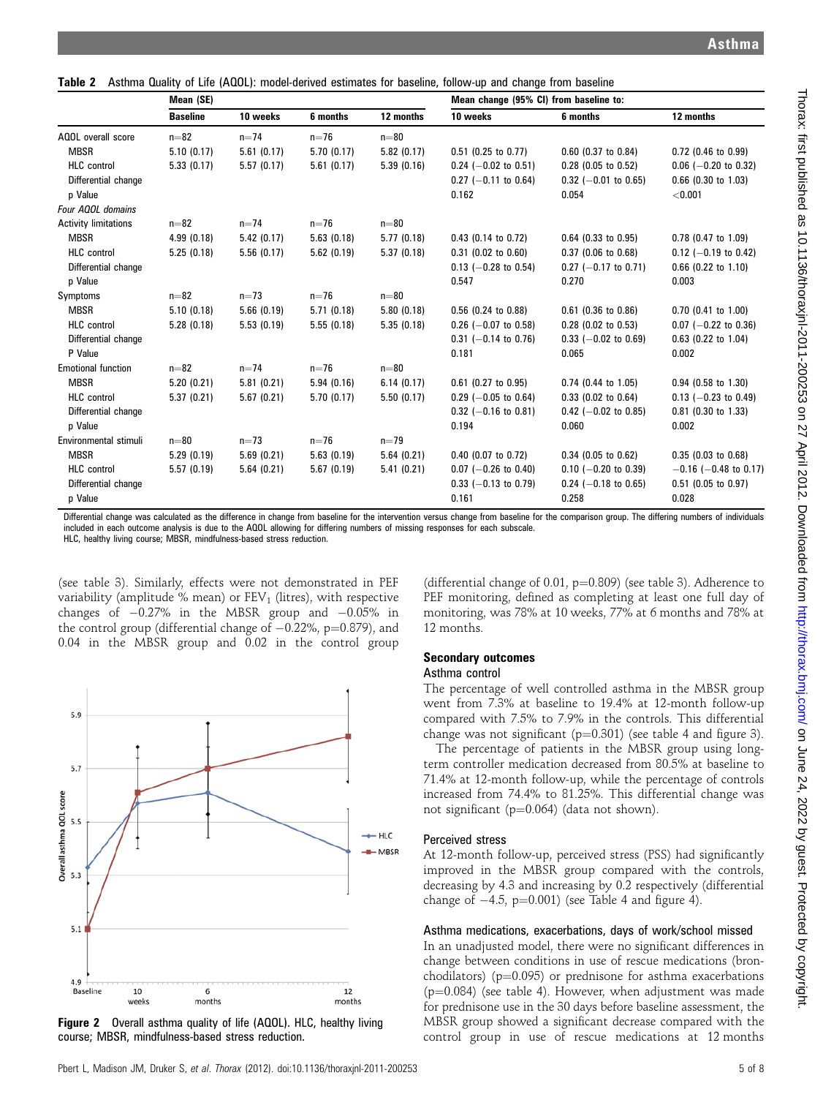Table 2 Asthma Quality of Life (AQOL): model-derived estimates for baseline, follow-up and change from baseline

|                             | Mean (SE)       |            |            |            | Mean change (95% CI) from baseline to: |                        |                            |  |  |
|-----------------------------|-----------------|------------|------------|------------|----------------------------------------|------------------------|----------------------------|--|--|
|                             | <b>Baseline</b> | 10 weeks   | 6 months   | 12 months  | 10 weeks                               | 6 months               | 12 months                  |  |  |
| AOOL overall score          | $n = 82$        | $n = 74$   | $n = 76$   | $n=80$     |                                        |                        |                            |  |  |
| <b>MBSR</b>                 | 5.10(0.17)      | 5.61(0.17) | 5.70(0.17) | 5.82(0.17) | $0.51$ (0.25 to 0.77)                  | $0.60$ (0.37 to 0.84)  | $0.72$ (0.46 to 0.99)      |  |  |
| <b>HLC</b> control          | 5.33(0.17)      | 5.57(0.17) | 5.61(0.17) | 5.39(0.16) | $0.24$ (-0.02 to 0.51)                 | $0.28$ (0.05 to 0.52)  | $0.06$ (-0.20 to 0.32)     |  |  |
| Differential change         |                 |            |            |            | $0.27$ (-0.11 to 0.64)                 | $0.32$ (-0.01 to 0.65) | $0.66$ (0.30 to 1.03)      |  |  |
| p Value                     |                 |            |            |            | 0.162                                  | 0.054                  | < 0.001                    |  |  |
| Four AQOL domains           |                 |            |            |            |                                        |                        |                            |  |  |
| <b>Activity limitations</b> | $n = 82$        | $n=74$     | $n=76$     | $n=80$     |                                        |                        |                            |  |  |
| <b>MBSR</b>                 | 4.99(0.18)      | 5.42(0.17) | 5.63(0.18) | 5.77(0.18) | 0.43 (0.14 to 0.72)                    | $0.64$ (0.33 to 0.95)  | 0.78 (0.47 to 1.09)        |  |  |
| <b>HLC</b> control          | 5.25(0.18)      | 5.56(0.17) | 5.62(0.19) | 5.37(0.18) | $0.31$ (0.02 to 0.60)                  | $0.37$ (0.06 to 0.68)  | $0.12$ (-0.19 to 0.42)     |  |  |
| Differential change         |                 |            |            |            | $0.13$ (-0.28 to 0.54)                 | $0.27$ (-0.17 to 0.71) | 0.66 (0.22 to 1.10)        |  |  |
| p Value                     |                 |            |            |            | 0.547                                  | 0.270                  | 0.003                      |  |  |
| Symptoms                    | $n = 82$        | $n = 73$   | $n = 76$   | $n=80$     |                                        |                        |                            |  |  |
| <b>MBSR</b>                 | 5.10(0.18)      | 5.66(0.19) | 5.71(0.18) | 5.80(0.18) | $0.56$ (0.24 to 0.88)                  | $0.61$ (0.36 to 0.86)  | 0.70 (0.41 to 1.00)        |  |  |
| <b>HLC</b> control          | 5.28(0.18)      | 5.53(0.19) | 5.55(0.18) | 5.35(0.18) | $0.26$ (-0.07 to 0.58)                 | 0.28 (0.02 to 0.53)    | $0.07$ (-0.22 to 0.36)     |  |  |
| Differential change         |                 |            |            |            | $0.31$ (-0.14 to 0.76)                 | $0.33$ (-0.02 to 0.69) | 0.63 (0.22 to 1.04)        |  |  |
| P Value                     |                 |            |            |            | 0.181                                  | 0.065                  | 0.002                      |  |  |
| <b>Emotional function</b>   | $n = 82$        | $n = 74$   | $n=76$     | $n=80$     |                                        |                        |                            |  |  |
| <b>MBSR</b>                 | 5.20(0.21)      | 5.81(0.21) | 5.94(0.16) | 6.14(0.17) | $0.61$ (0.27 to 0.95)                  | 0.74 (0.44 to 1.05)    | 0.94 (0.58 to 1.30)        |  |  |
| <b>HLC</b> control          | 5.37(0.21)      | 5.67(0.21) | 5.70(0.17) | 5.50(0.17) | $0.29$ (-0.05 to 0.64)                 | $0.33$ (0.02 to 0.64)  | $0.13$ (-0.23 to 0.49)     |  |  |
| Differential change         |                 |            |            |            | $0.32$ (-0.16 to 0.81)                 | $0.42$ (-0.02 to 0.85) | 0.81 (0.30 to 1.33)        |  |  |
| p Value                     |                 |            |            |            | 0.194                                  | 0.060                  | 0.002                      |  |  |
| Environmental stimuli       | $n=80$          | $n = 73$   | $n = 76$   | $n = 79$   |                                        |                        |                            |  |  |
| <b>MBSR</b>                 | 5.29(0.19)      | 5.69(0.21) | 5.63(0.19) | 5.64(0.21) | $0.40$ (0.07 to 0.72)                  | $0.34$ (0.05 to 0.62)  | $0.35$ (0.03 to 0.68)      |  |  |
| <b>HLC</b> control          | 5.57(0.19)      | 5.64(0.21) | 5.67(0.19) | 5.41(0.21) | $0.07$ (-0.26 to 0.40)                 | $0.10$ (-0.20 to 0.39) | $-0.16$ ( $-0.48$ to 0.17) |  |  |
| Differential change         |                 |            |            |            | $0.33$ (-0.13 to 0.79)                 | $0.24$ (-0.18 to 0.65) | $0.51$ (0.05 to 0.97)      |  |  |
| p Value                     |                 |            |            |            | 0.161                                  | 0.258                  | 0.028                      |  |  |

Differential change was calculated as the difference in change from baseline for the intervention versus change from baseline for the comparison group. The differing numbers of individuals included in each outcome analysis is due to the AQOL allowing for differing numbers of missing responses for each subscale. HLC, healthy living course; MBSR, mindfulness-based stress reduction.

(see table 3). Similarly, effects were not demonstrated in PEF variability (amplitude % mean) or  $FEV<sub>1</sub>$  (litres), with respective

changes of  $-0.27\%$  in the MBSR group and  $-0.05\%$  in the control group (differential change of  $-0.22\%$ , p= $0.879$ ), and 0.04 in the MBSR group and 0.02 in the control group



**Figure 2** Overall asthma quality of life (AQOL). HLC, healthy living course; MBSR, mindfulness-based stress reduction.

(differential change of 0.01,  $p=0.809$ ) (see table 3). Adherence to PEF monitoring, defined as completing at least one full day of monitoring, was 78% at 10 weeks, 77% at 6 months and 78% at 12 months.

#### Secondary outcomes Asthma control

## The percentage of well controlled asthma in the MBSR group went from 7.3% at baseline to 19.4% at 12-month follow-up compared with 7.5% to 7.9% in the controls. This differential change was not significant ( $p=0.301$ ) (see table 4 and figure 3).

The percentage of patients in the MBSR group using longterm controller medication decreased from 80.5% at baseline to 71.4% at 12-month follow-up, while the percentage of controls increased from 74.4% to 81.25%. This differential change was not significant ( $p=0.064$ ) (data not shown).

## Perceived stress

At 12-month follow-up, perceived stress (PSS) had significantly improved in the MBSR group compared with the controls, decreasing by 4.3 and increasing by 0.2 respectively (differential change of  $-4.5$ ,  $p=0.001$ ) (see Table 4 and figure 4).

## Asthma medications, exacerbations, days of work/school missed

In an unadjusted model, there were no significant differences in change between conditions in use of rescue medications (bronchodilators) ( $p=0.095$ ) or prednisone for asthma exacerbations  $(p=0.084)$  (see table 4). However, when adjustment was made for prednisone use in the 30 days before baseline assessment, the MBSR group showed a significant decrease compared with the control group in use of rescue medications at 12 months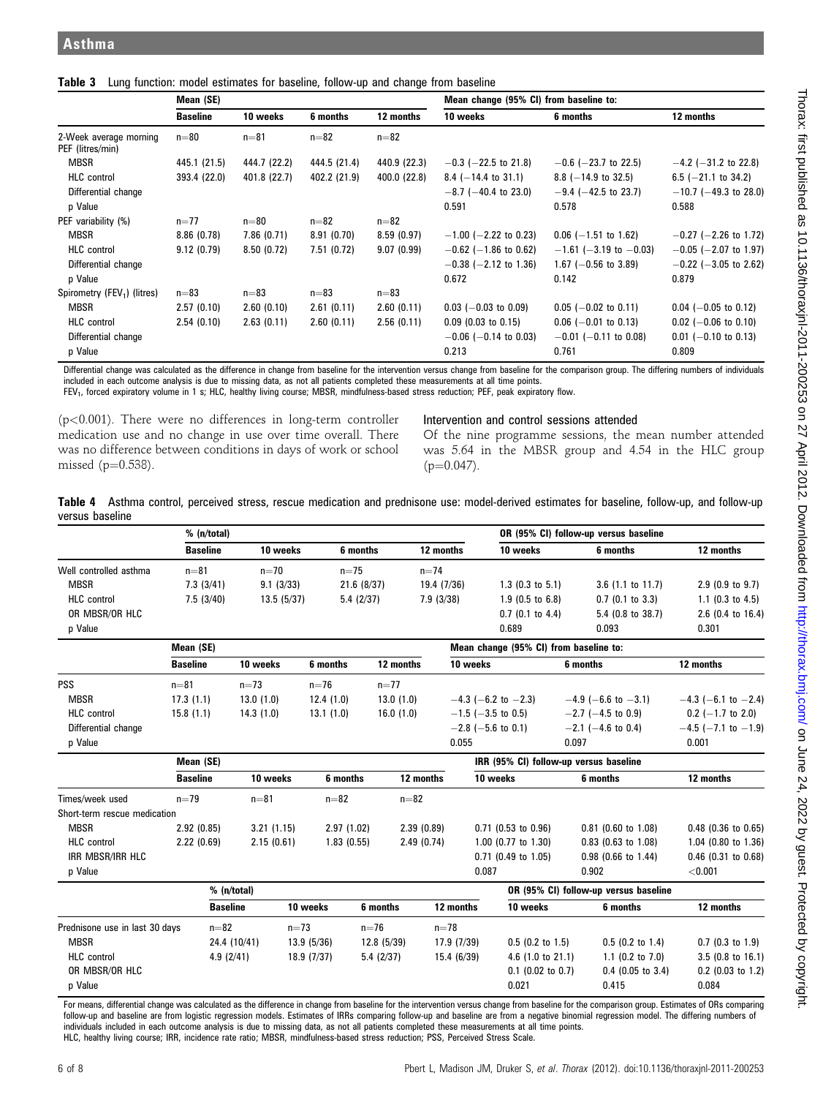|  | Table 3 Lung function: model estimates for baseline, follow-up and change from baseline |  |  |  |  |  |  |  |  |  |
|--|-----------------------------------------------------------------------------------------|--|--|--|--|--|--|--|--|--|
|--|-----------------------------------------------------------------------------------------|--|--|--|--|--|--|--|--|--|

|                                            | Mean (SE)       |              |              |              | Mean change (95% CI) from baseline to: |                            |                            |  |  |
|--------------------------------------------|-----------------|--------------|--------------|--------------|----------------------------------------|----------------------------|----------------------------|--|--|
|                                            | <b>Baseline</b> | 10 weeks     | 6 months     | 12 months    | 10 weeks                               | 6 months                   | 12 months                  |  |  |
| 2-Week average morning<br>PEF (litres/min) | $n=80$          | $n = 81$     | $n=82$       | $n = 82$     |                                        |                            |                            |  |  |
| <b>MBSR</b>                                | 445.1 (21.5)    | 444.7 (22.2) | 444.5 (21.4) | 440.9 (22.3) | $-0.3$ ( $-22.5$ to 21.8)              | $-0.6$ ( $-23.7$ to 22.5)  | $-4.2$ ( $-31.2$ to 22.8)  |  |  |
| <b>HLC</b> control                         | 393.4 (22.0)    | 401.8 (22.7) | 402.2 (21.9) | 400.0 (22.8) | $8.4$ (-14.4 to 31.1)                  | $8.8$ (-14.9 to 32.5)      | 6.5 $(-21.1$ to 34.2)      |  |  |
| Differential change                        |                 |              |              |              | $-8.7$ ( $-40.4$ to 23.0)              | $-9.4$ ( $-42.5$ to 23.7)  | $-10.7$ ( $-49.3$ to 28.0) |  |  |
| p Value                                    |                 |              |              |              | 0.591                                  | 0.578                      | 0.588                      |  |  |
| PEF variability (%)                        | $n=77$          | $n=80$       | $n=82$       | $n=82$       |                                        |                            |                            |  |  |
| <b>MBSR</b>                                | 8.86(0.78)      | 7.86(0.71)   | 8.91(0.70)   | 8.59(0.97)   | $-1.00$ ( $-2.22$ to 0.23)             | $0.06$ (-1.51 to 1.62)     | $-0.27$ ( $-2.26$ to 1.72) |  |  |
| <b>HLC</b> control                         | 9.12(0.79)      | 8.50(0.72)   | 7.51(0.72)   | 9.07(0.99)   | $-0.62$ ( $-1.86$ to 0.62)             | $-1.61$ (-3.19 to -0.03)   | $-0.05$ ( $-2.07$ to 1.97) |  |  |
| Differential change                        |                 |              |              |              | $-0.38$ ( $-2.12$ to 1.36)             | 1.67 $(-0.56$ to 3.89)     | $-0.22$ ( $-3.05$ to 2.62) |  |  |
| p Value                                    |                 |              |              |              | 0.672                                  | 0.142                      | 0.879                      |  |  |
| Spirometry (FEV <sub>1</sub> ) (litres)    | $n=83$          | $n=83$       | $n=83$       | $n=83$       |                                        |                            |                            |  |  |
| <b>MBSR</b>                                | 2.57(0.10)      | 2.60(0.10)   | 2.61(0.11)   | 2.60(0.11)   | $0.03$ (-0.03 to 0.09)                 | $0.05$ (-0.02 to 0.11)     | $0.04$ (-0.05 to 0.12)     |  |  |
| HLC control                                | 2.54(0.10)      | 2.63(0.11)   | 2.60(0.11)   | 2.56(0.11)   | $0.09$ (0.03 to 0.15)                  | $0.06$ (-0.01 to 0.13)     | $0.02$ (-0.06 to 0.10)     |  |  |
| Differential change                        |                 |              |              |              | $-0.06$ ( $-0.14$ to 0.03)             | $-0.01$ ( $-0.11$ to 0.08) | $0.01$ (-0.10 to 0.13)     |  |  |
| p Value                                    |                 |              |              |              | 0.213                                  | 0.761                      | 0.809                      |  |  |

Differential change was calculated as the difference in change from baseline for the intervention versus change from baseline for the comparison group. The differing numbers of individuals included in each outcome analysis is due to missing data, as not all patients completed these measurements at all time points.

FEV<sub>1</sub>, forced expiratory volume in 1 s; HLC, healthy living course; MBSR, mindfulness-based stress reduction; PEF, peak expiratory flow.

(p<0.001). There were no differences in long-term controller medication use and no change in use over time overall. There was no difference between conditions in days of work or school missed  $(p=0.538)$ .

Intervention and control sessions attended

Of the nine programme sessions, the mean number attended was 5.64 in the MBSR group and 4.54 in the HLC group  $(p=0.047)$ .

|                 |  |  |  |  |  | Table 4 Asthma control, perceived stress, rescue medication and prednisone use: model-derived estimates for baseline, follow-up, and follow-up |  |  |  |
|-----------------|--|--|--|--|--|------------------------------------------------------------------------------------------------------------------------------------------------|--|--|--|
| versus baseline |  |  |  |  |  |                                                                                                                                                |  |  |  |

|                                | % (n/total)     |              |            |            |             |                                        | OR (95% CI) follow-up versus baseline  |                       |
|--------------------------------|-----------------|--------------|------------|------------|-------------|----------------------------------------|----------------------------------------|-----------------------|
|                                | <b>Baseline</b> | 10 weeks     | 6 months   |            | 12 months   | 10 weeks                               | 6 months                               | 12 months             |
| Well controlled asthma         | $n=81$          | $n=70$       | $n = 75$   |            | $n = 74$    |                                        |                                        |                       |
| <b>MBSR</b>                    | 7.3(3/41)       | 9.1(3/33)    | 21.6(8/37) |            | 19.4 (7/36) | $1.3$ (0.3 to 5.1)                     | $3.6$ (1.1 to 11.7)                    | $2.9$ (0.9 to 9.7)    |
| HLC control                    | 7.5(3/40)       | 13.5(5/37)   | 5.4(2/37)  |            | 7.9(3/38)   | $1.9$ (0.5 to 6.8)                     | $0.7$ (0.1 to 3.3)                     | 1.1 (0.3 to 4.5)      |
| OR MBSR/OR HLC                 |                 |              |            |            |             | $0.7$ (0.1 to 4.4)                     | 5.4 (0.8 to 38.7)                      | 2.6 (0.4 to 16.4)     |
| p Value                        |                 |              |            |            |             | 0.689                                  | 0.093                                  | 0.301                 |
|                                | Mean (SE)       |              |            |            |             | Mean change (95% CI) from baseline to: |                                        |                       |
|                                | <b>Baseline</b> | 10 weeks     | 6 months   | 12 months  | 10 weeks    |                                        | 6 months                               | 12 months             |
| <b>PSS</b>                     | $n = 81$        | $n = 73$     | $n = 76$   | $n=77$     |             |                                        |                                        |                       |
| <b>MBSR</b>                    | 17.3(1.1)       | 13.0(1.0)    | 12.4(1.0)  | 13.0(1.0)  |             | $-4.3$ (-6.2 to $-2.3$ )               | $-4.9$ (-6.6 to $-3.1$ )               | $-4.3$ (-6.1 to -2.4) |
| <b>HLC</b> control             | 15.8(1.1)       | 14.3(1.0)    | 13.1(1.0)  | 16.0(1.0)  |             | $-1.5$ ( $-3.5$ to 0.5)                | $-2.7$ ( $-4.5$ to 0.9)                | $0.2$ (-1.7 to 2.0)   |
| Differential change            |                 |              |            |            |             | $-2.8$ ( $-5.6$ to 0.1)                | $-2.1$ ( $-4.6$ to 0.4)                | $-4.5$ (-7.1 to -1.9) |
| p Value                        |                 |              |            |            | 0.055       |                                        | 0.097                                  | 0.001                 |
|                                | Mean (SE)       |              |            |            |             |                                        | IRR (95% CI) follow-up versus baseline |                       |
|                                | <b>Baseline</b> | 10 weeks     | 6 months   | 12 months  |             | 10 weeks                               | 6 months                               | 12 months             |
| Times/week used                | $n=79$          | $n=81$       | $n=82$     | $n=82$     |             |                                        |                                        |                       |
| Short-term rescue medication   |                 |              |            |            |             |                                        |                                        |                       |
| <b>MBSR</b>                    | 2.92(0.85)      | 3.21(1.15)   | 2.97(1.02) | 2.39(0.89) |             | $0.71$ (0.53 to 0.96)                  | $0.81$ (0.60 to 1.08)                  | 0.48 (0.36 to 0.65)   |
| <b>HLC</b> control             | 2.22(0.69)      | 2.15(0.61)   | 1.83(0.55) | 2.49(0.74) |             | 1.00 (0.77 to 1.30)                    | $0.83$ (0.63 to 1.08)                  | 1.04 (0.80 to 1.36)   |
| IRR MBSR/IRR HLC               |                 |              |            |            |             | 0.71 (0.49 to 1.05)                    | 0.98 (0.66 to 1.44)                    | 0.46 (0.31 to 0.68)   |
| p Value                        |                 |              |            |            |             | 0.087                                  | 0.902                                  | < 0.001               |
|                                |                 | % (n/total)  |            |            |             |                                        | OR (95% CI) follow-up versus baseline  |                       |
|                                | <b>Baseline</b> |              | 10 weeks   | 6 months   | 12 months   | 10 weeks                               | 6 months                               | 12 months             |
| Prednisone use in last 30 days | $n = 82$        | $n = 73$     |            | $n=76$     | $n = 78$    |                                        |                                        |                       |
| <b>MBSR</b>                    |                 | 24.4 (10/41) | 13.9(5/36) | 12.8(5/39) | 17.9 (7/39) | $0.5$ (0.2 to 1.5)                     | $0.5$ (0.2 to 1.4)                     | $0.7$ (0.3 to 1.9)    |
| <b>HLC</b> control             | 4.9(2/41)       |              | 18.9(7/37) | 5.4(2/37)  | 15.4(6/39)  | 4.6 $(1.0 \text{ to } 21.1)$           | 1.1 $(0.2 \text{ to } 7.0)$            | 3.5 (0.8 to 16.1)     |
| OR MBSR/OR HLC                 |                 |              |            |            |             | $0.1$ (0.02 to 0.7)                    | $0.4$ (0.05 to 3.4)                    | $0.2$ (0.03 to 1.2)   |
| p Value                        |                 |              |            |            |             | 0.021                                  | 0.415                                  | 0.084                 |

For means, differential change was calculated as the difference in change from baseline for the intervention versus change from baseline for the comparison group. Estimates of ORs comparing follow-up and baseline are from logistic regression models. Estimates of IRRs comparing follow-up and baseline are from a negative binomial regression model. The differing numbers of individuals included in each outcome analysis is due to missing data, as not all patients completed these measurements at all time points. HLC, healthy living course; IRR, incidence rate ratio; MBSR, mindfulness-based stress reduction; PSS, Perceived Stress Scale.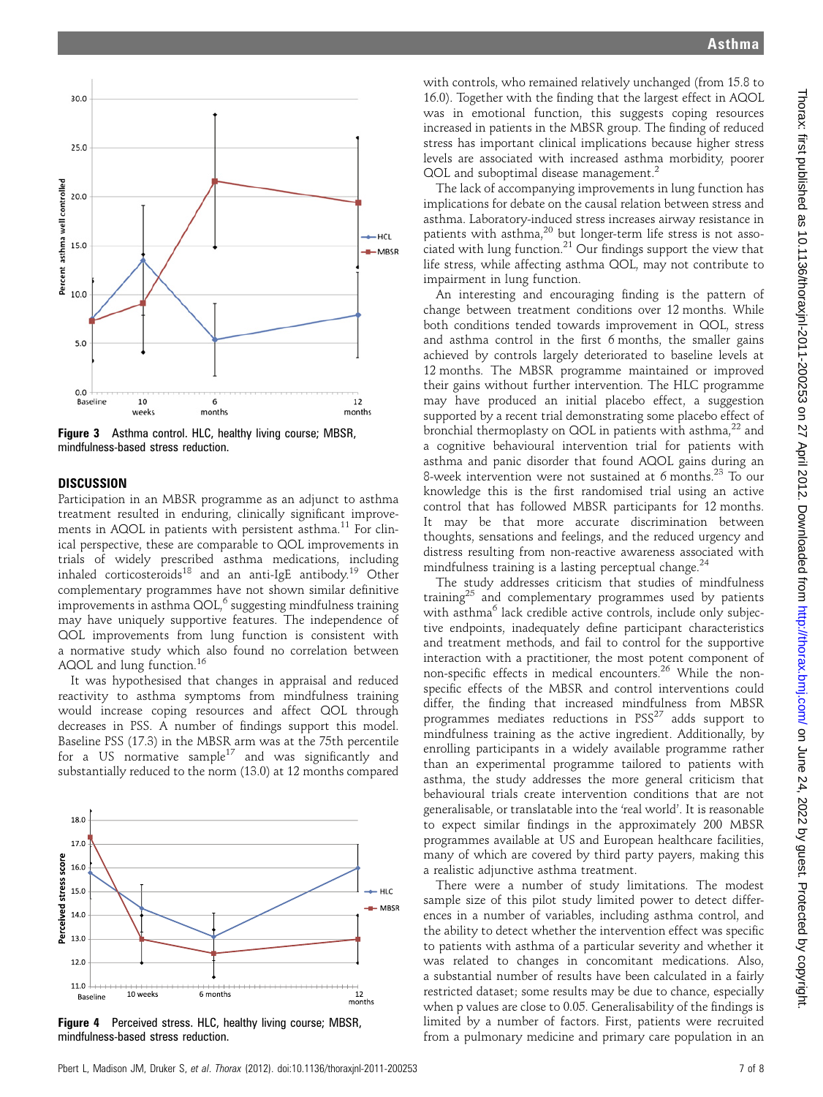

Figure 3 Asthma control. HLC, healthy living course; MBSR, mindfulness-based stress reduction.

## **DISCUSSION**

Participation in an MBSR programme as an adjunct to asthma treatment resulted in enduring, clinically significant improvements in AQOL in patients with persistent asthma.<sup>11</sup> For clinical perspective, these are comparable to QOL improvements in trials of widely prescribed asthma medications, including inhaled corticosteroids<sup>18</sup> and an anti-IgE antibody.<sup>19</sup> Other complementary programmes have not shown similar definitive improvements in asthma  $\text{QOL}^6$  suggesting mindfulness training may have uniquely supportive features. The independence of QOL improvements from lung function is consistent with a normative study which also found no correlation between AQOL and lung function.<sup>16</sup>

It was hypothesised that changes in appraisal and reduced reactivity to asthma symptoms from mindfulness training would increase coping resources and affect QOL through decreases in PSS. A number of findings support this model. Baseline PSS (17.3) in the MBSR arm was at the 75th percentile for a US normative sample<sup>17</sup> and was significantly and substantially reduced to the norm (13.0) at 12 months compared



**Figure 4** Perceived stress. HLC, healthy living course; MBSR, mindfulness-based stress reduction.

with controls, who remained relatively unchanged (from 15.8 to 16.0). Together with the finding that the largest effect in AQOL was in emotional function, this suggests coping resources increased in patients in the MBSR group. The finding of reduced stress has important clinical implications because higher stress levels are associated with increased asthma morbidity, poorer QOL and suboptimal disease management.<sup>2</sup>

The lack of accompanying improvements in lung function has implications for debate on the causal relation between stress and asthma. Laboratory-induced stress increases airway resistance in patients with asthma,<sup>20</sup> but longer-term life stress is not assopatients with assume, our consecuence and the view that ciated with lung function.<sup>21</sup> Our findings support the view that life stress, while affecting asthma QOL, may not contribute to impairment in lung function.

An interesting and encouraging finding is the pattern of change between treatment conditions over 12 months. While both conditions tended towards improvement in QOL, stress and asthma control in the first 6 months, the smaller gains achieved by controls largely deteriorated to baseline levels at 12 months. The MBSR programme maintained or improved their gains without further intervention. The HLC programme may have produced an initial placebo effect, a suggestion supported by a recent trial demonstrating some placebo effect of bronchial thermoplasty on QOL in patients with asthma, $^{22}$  and a cognitive behavioural intervention trial for patients with asthma and panic disorder that found AQOL gains during an 8-week intervention were not sustained at 6 months.<sup>23</sup> To our knowledge this is the first randomised trial using an active control that has followed MBSR participants for 12 months. It may be that more accurate discrimination between thoughts, sensations and feelings, and the reduced urgency and distress resulting from non-reactive awareness associated with mindfulness training is a lasting perceptual change.<sup>24</sup>

The study addresses criticism that studies of mindfulness training $25$  and complementary programmes used by patients with asthma<sup>6</sup> lack credible active controls, include only subjective endpoints, inadequately define participant characteristics and treatment methods, and fail to control for the supportive interaction with a practitioner, the most potent component of non-specific effects in medical encounters.<sup>26</sup> While the nonspecific effects of the MBSR and control interventions could differ, the finding that increased mindfulness from MBSR programmes mediates reductions in PSS<sup>27</sup> adds support to mindfulness training as the active ingredient. Additionally, by enrolling participants in a widely available programme rather than an experimental programme tailored to patients with asthma, the study addresses the more general criticism that behavioural trials create intervention conditions that are not generalisable, or translatable into the 'real world'. It is reasonable to expect similar findings in the approximately 200 MBSR programmes available at US and European healthcare facilities, many of which are covered by third party payers, making this a realistic adjunctive asthma treatment.

There were a number of study limitations. The modest sample size of this pilot study limited power to detect differences in a number of variables, including asthma control, and the ability to detect whether the intervention effect was specific to patients with asthma of a particular severity and whether it was related to changes in concomitant medications. Also, a substantial number of results have been calculated in a fairly restricted dataset; some results may be due to chance, especially when p values are close to 0.05. Generalisability of the findings is limited by a number of factors. First, patients were recruited from a pulmonary medicine and primary care population in an